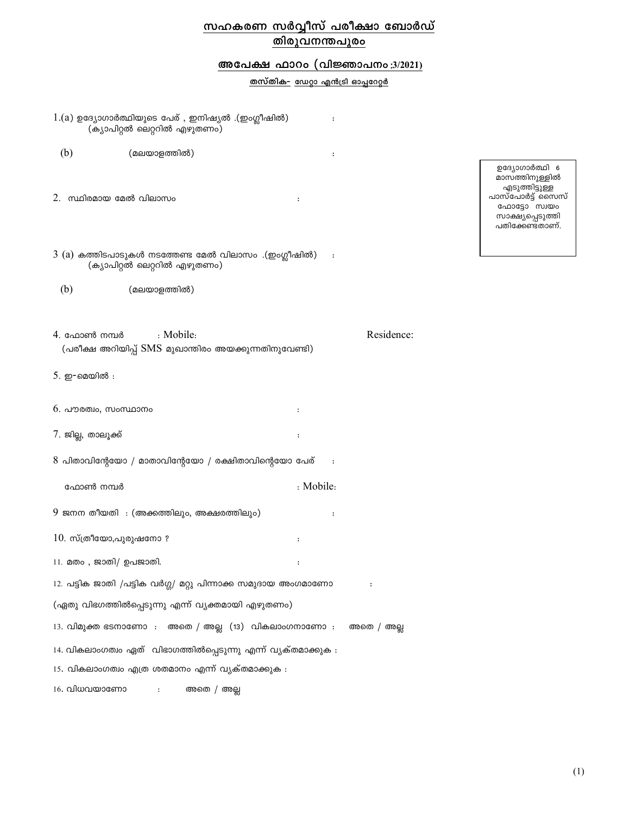# സഹകരണ സർവ്വീസ് പരീക്ഷാ ബോർഡ് തിരുവനന്തപുരം

## അപേക്ഷ ഫാറം (വിജ്ഞാപനം:3/2021)

<u>തസ്തിക- ഡേറ്റാ എൻട്രി ഓപ്പറേറ്റർ</u>

 $\colon$ 

|                          | (ക്യാപിറ്റൽ ലെറ്ററിൽ എഴുതണം)                                                             |           |            |
|--------------------------|------------------------------------------------------------------------------------------|-----------|------------|
| (b)                      | (മലയാളത്തിൽ)                                                                             | :         |            |
| 2. സ്ഥിരമായ മേൽ വിലാസം   |                                                                                          | :         |            |
|                          | $3$ $(a)$ കത്തിടപാടുകൾ നടത്തേണ്ട മേൽ വിലാസം .(ഇംഗ്ലീഷിൽ)<br>(ക്യാപിറ്റൽ ലെറ്ററിൽ എഴുതണം) | $\colon$  |            |
| (b)                      | (മലയാളത്തിൽ)                                                                             |           |            |
| 4. ഫോൺ നമ്പർ             | : Mobile:<br>(പരീക്ഷ അറിയിപ്പ് SMS മുഖാന്തിരം അയക്കുന്നതിനുവേണ്ടി)                       |           | Residence: |
| 5. ഇ-മെയിൽ :             |                                                                                          |           |            |
| $6.$ പൗരത്വം, സംസ്ഥാനം   |                                                                                          | :         |            |
| 7. ജില്ല, താലൂക്ക്       |                                                                                          | :         |            |
|                          | $8$ പിതാവിന്റേയോ / മാതാവിന്റേയോ / രക്ഷിതാവിന്റെയോ പേര്                                   | $\cdot$ : |            |
| ഫോൺ നമ്പർ                |                                                                                          | : Mobile: |            |
|                          | 9 ജനന തീയതി  : (അക്കത്തിലും, അക്ഷരത്തിലും)                                               | :         |            |
| $10.$ സ്ത്രീയോ,പുരുഷനോ ? |                                                                                          |           |            |
| 11. മതം, ജാതി/ ഉപജാതി.   |                                                                                          | :         |            |
|                          | 12. പട്ടിക ജാതി /പട്ടിക വർഗ്ഗ/ മറ്റു പിന്നാക്ക സമുദായ അംഗമാണോ                            |           |            |
|                          | (ഏതു വിഭഗത്തിൽപ്പെടുന്നു എന്ന് വ്യക്തമായി എഴുതണം)                                        |           |            |
|                          | 13. വിമുക്ത ഭടനാണോ : അതെ / അല്ല (13) വികലാംഗനാണോ : അതെ / അല്ല                            |           |            |
|                          | 14. വികലാംഗത്വം ഏത് വിഭാഗത്തിൽപ്പെടുന്നു എന്ന് വ്യക്തമാക്കുക :                           |           |            |
|                          | 15. വികലാംഗത്വം എത്ര ശതമാനം എന്ന് വ്യക്തമാക്കുക :                                        |           |            |
| 16. വിധവയാണോ             | അതെ / അല്ല                                                                               |           |            |

 $1.(a)$  ഉദ്യോഗാർത്ഥിയുടെ പേര്, ഇനിഷ്യൽ .(ഇംഗ്ലീഷിൽ)

ഉദ്യോഗാർത്ഥി 6 മാസ്ത്തിനുള്ളിൽ മാസത്തനുള്ളത്ത<br>എടുത്തിട്ടുള്ള<br>പാസ്പോർട്ട് സൈസ്<br>ഹോട്ടോ സ്വയം<br>സാക്ഷ്യപ്പെടുത്തി<br>പതിക്കേണ്ടതാണ്.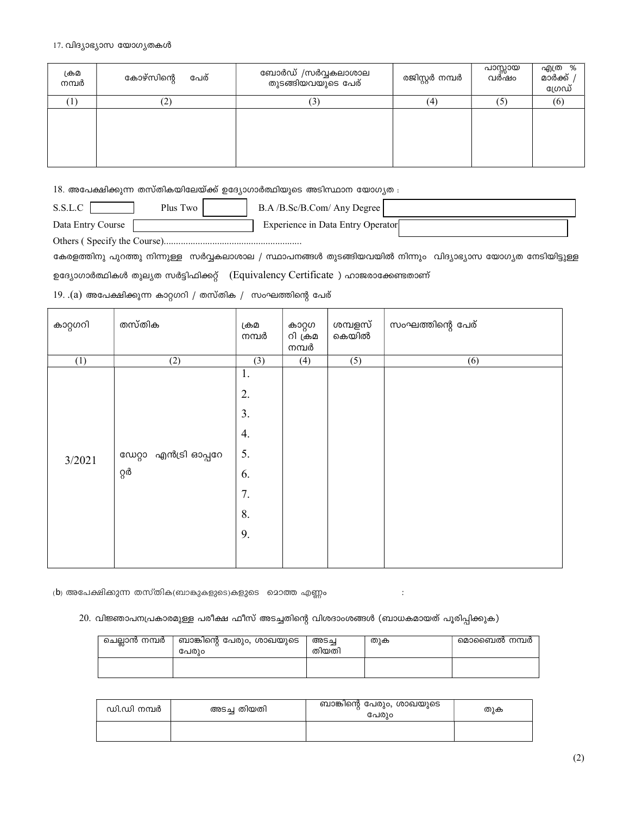#### 17. വിദ്യാഭ്യാസ യോഗ്യതകൾ

| ക്രമ<br>നമ്പർ | പേര്<br>കോഴ്സിന്റെ | ബോർഡ് /സർവ്വകലാശാല<br>തുടങ്ങിയവയുടെ പേര് | രജിസ്റ്റർ നമ്പർ | പാസ്സായ<br>വർഷം | എത്ര %<br>മാർക്ക്<br>ഗ്രേഡ് |
|---------------|--------------------|------------------------------------------|-----------------|-----------------|-----------------------------|
|               | ∼                  | $\left(3\right)$                         | (4)             | (5)             | (6)                         |
|               |                    |                                          |                 |                 |                             |

 $18.$  അപേക്ഷിക്കുന്ന തസ്തികയിലേയ്ക്ക് ഉദ്യോഗാർത്ഥിയുടെ അടിസ്ഥാന യോഗ്യത :

 $S.S.L.C \square$ Plus Two B.A /B.Sc/B.Com/ Any Degree

Data Entry Course Experience in Data Entry Operator

കേരളത്തിനു പുറത്തു നിന്നുള്ള സർവ്വകലാശാല / സ്ഥാപനങ്ങൾ തുടങ്ങിയവയിൽ നിന്നും വിദ്യാഭ്യാസ യോഗ്യത നേടിയിട്ടുള്ള

ഉദ്യോഗാർത്ഥികൾ തുല്യത സർട്ടിഫിക്കറ്റ് (Equivalency Certificate) ഹാജരാക്കേണ്ടതാണ്

 $19.$ . $(a)$  അപേക്ഷിക്കുന്ന കാറ്റഗറി / തസ്തിക / സംഘത്തിന്റെ പേര്

| കാറ്റഗറി | തസ്തിക                          | ക്രമ<br>നമ്പർ                                      | കാറ്റഗ<br>റി ക്രമ<br>നമ്പർ | ശമ്പളസ്<br>കെയിൽ | സംഘത്തിന്റെ പേര് |
|----------|---------------------------------|----------------------------------------------------|----------------------------|------------------|------------------|
| (1)      | (2)                             | (3)                                                | (4)                        | (5)              | (6)              |
| 3/2021   | ഡേറ്റാ  എൻട്രി ഓപ്പറേ<br>ვ<br>ვ | 1.<br>2.<br>3.<br>4.<br>5.<br>6.<br>7.<br>8.<br>9. |                            |                  |                  |

(b) അപേക്ഷിക്കുന്ന തസ്തിക(ബാങ്കുകളുടെ)കളുടെ മൊത്ത എണ്ണം

### 20. വിജ്ഞാപനപ്രകാരമുള്ള പരീക്ഷ ഫീസ് അടച്ചതിന്റെ വിശദാംശങ്ങൾ (ബാധകമായത് പൂരിപ്പിക്കുക)

| ചെല്ലാൻ നമ്പർ | ബാങ്കിന്റെ പേരും, ശാഖയുടെ<br>പേരിഠ | അടച<br>തിയതി | തുക | മൊബൈൽ നമ്പർ |
|---------------|------------------------------------|--------------|-----|-------------|
|               |                                    |              |     |             |

| ഡി.ഡി നമ്പർ | അടച്ച തിയതി | ബാങ്കിന്റെ പേരും, ശാഖയുടെ<br>പേരിഠ | തുക |
|-------------|-------------|------------------------------------|-----|
|             |             |                                    |     |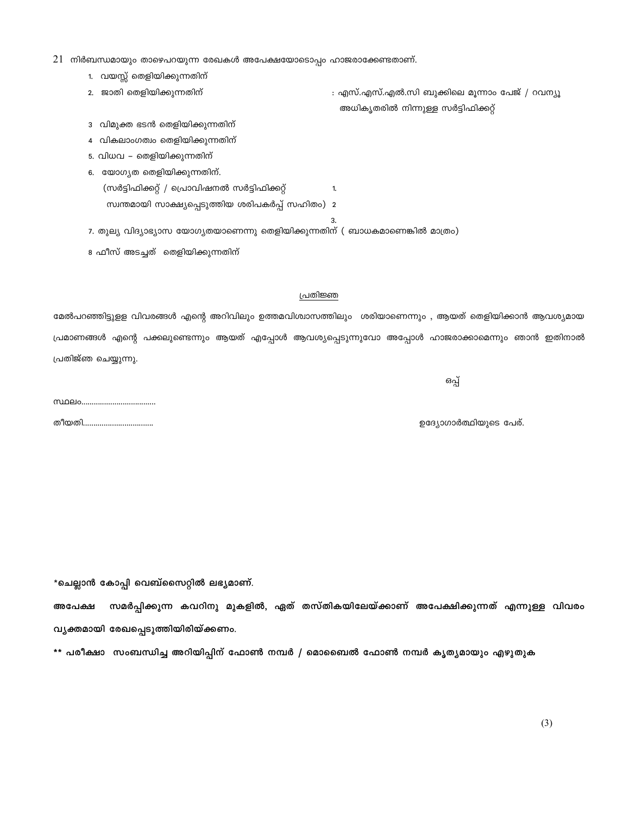\*\* പരീക്ഷാ സംബന്ധിച്ച അറിയിപ്പിന് ഫോൺ നമ്പർ / മൊബൈൽ ഫോൺ നമ്പർ കൃത്യമായും എഴുതുക

വൃക്തമായി രേഖപ്പെടുത്തിയിരിയ്ക്കണം.

\*ചെല്ലാൻ കോപ്പി വെബ്സൈറ്റിൽ ലഭ്യമാണ്. സമർപ്പിക്കുന്ന കവറിനു മുകളിൽ, ഏത് തസ്തികയിലേയ്ക്കാണ് അപേക്ഷിക്കുന്നത് എന്നുള്ള വിവരം അപേക്ഷ

മേൽപറഞ്ഞിട്ടുളള വിവരങ്ങൾ എന്റെ അറിവിലും ഉത്തമവിശ്വാസത്തിലും ശരിയാണെന്നും , ആയത് തെളിയിക്കാൻ ആവശ്യമായ പ്രമാണങ്ങൾ എന്റെ പക്കലുണ്ടെന്നും ആയത് എപ്പോൾ ആവശ്യപ്പെടുന്നുവോ അപ്പോൾ ഹാജരാക്കാമെന്നും ഞാൻ ഇതിനാൽ പ്രതിജ്ഞ ചെയ്യുന്നു.

പ്രതിജ്ഞ

1.

 $21\;$  നിർബന്ധമായും താഴെപറയുന്ന രേഖകൾ അപേക്ഷയോടൊപ്പം ഹാജരാക്കേണ്ടതാണ്. 1. വയസ്സ് തെളിയിക്കുന്നതിന്

സ്വന്തമായി സാക്ഷ്യപ്പെടുത്തിയ ശരിപകർപ്പ് സഹിതം) 2

7. തുല്യ വിദ്യാഭ്യാസ യോഗ്യതയാണെന്നു തെളിയിക്കുന്നതിന് ( ബാധകമാണെങ്കിൽ മാത്രം)

2. ജാതി തെളിയിക്കുന്നതിന്

3 വിമുക്ത ഭടൻ തെളിയിക്കുന്നതിന് 4 വികലാംഗത്വം തെളിയിക്കുന്നതിന് 5. വിധവ – തെളിയിക്കുന്നതിന് 6. യോഗ്യത തെളിയിക്കുന്നതിന്.

8 ഫീസ് അടച്ചത് തെളിയിക്കുന്നതിന്

(സർട്ടിഫിക്കറ്റ് / പ്രൊവിഷനൽ സർട്ടിഫിക്കറ്റ്

ഒപ്പ്

ഉദ്യോഗാർത്ഥിയുടെ പേര്.

: എസ്.എസ്.എൽ.സി ബുക്കിലെ മൂന്നാം പേജ് / റവന്യു

അധികൃതരിൽ നിന്നുള്ള സർട്ടിഫിക്കറ്റ്

തീയതി..................................